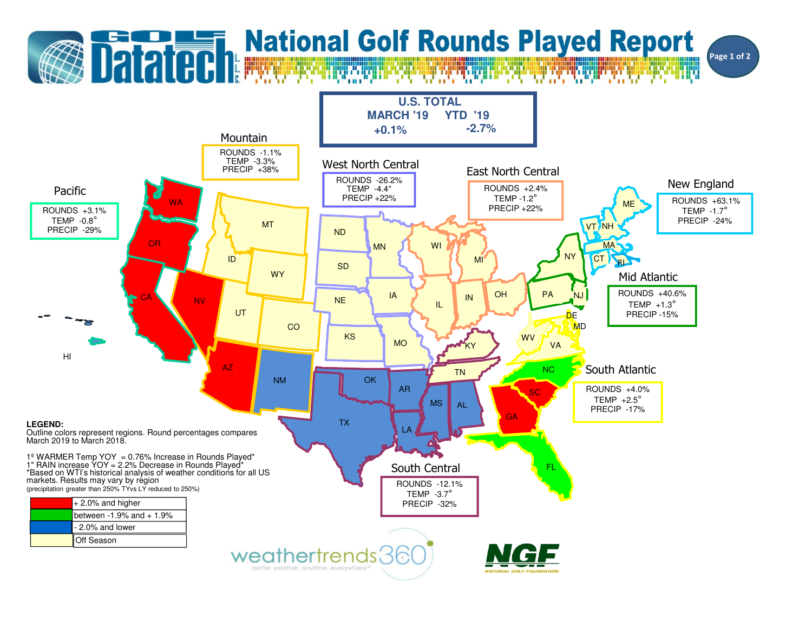